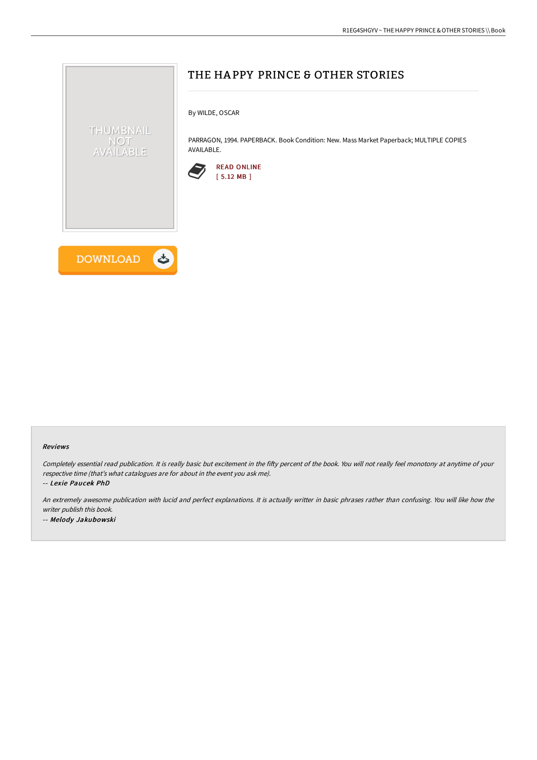

#### Reviews

Completely essential read publication. It is really basic but excitement in the fifty percent of the book. You will not really feel monotony at anytime of your respective time (that's what catalogues are for about in the event you ask me).

-- Lexie Paucek PhD

An extremely awesome publication with lucid and perfect explanations. It is actually writter in basic phrases rather than confusing. You will like how the writer publish this book. -- Melody Jakubowski